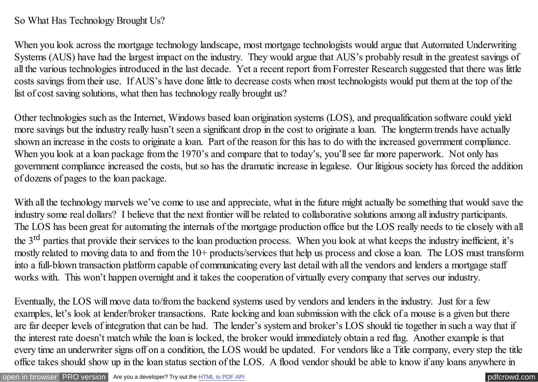So What Has Technology Brought Us?

When you look across the mortgage technology landscape, most mortgage technologists would argue that Automated Underwriting Systems (AUS) have had the largest impact on the industry. They would argue that AUS's probably result in the greatest savings of all the various technologies introduced in the last decade. Yet a recent report from Forrester Research suggested that there was little costs savings from their use. If AUS's have done little to decrease costs when most technologists would put them at the top of the list of cost saving solutions, what then has technology really brought us?

Other technologies such as the Internet, Windows based loan origination systems (LOS), and prequalification software could yield more savings but the industry really hasn't seen a significant drop in the cost to originate a loan. The longterm trends have actually shown an increase in the costs to originate a loan. Part of the reason for this has to do with the increased government compliance. When you look at a loan package from the 1970's and compare that to today's, you'll see far more paperwork. Not only has government compliance increased the costs, but so has the dramatic increase in legalese. Our litigious society has forced the addition of dozens of pages to the loan package.

With all the technology marvels we've come to use and appreciate, what in the future might actually be something that would save the industry some real dollars? I believe that the next frontier will be related to collaborative solutions among all industry participants. The LOS has been great for automating the internals of the mortgage production office but the LOS really needs to tie closely with all the 3<sup>rd</sup> parties that provide their services to the loan production process. When you look at what keeps the industry inefficient, it's mostly related to moving data to and from the 10+ products/services that help us process and close a loan. The LOS must transform into a full-blown transaction platform capable of communicating every last detail with all the vendors and lenders a mortgage staff works with. This won't happen overnight and it takes the cooperation of virtually every company that serves our industry.

Eventually, the LOS will move data to/from the backend systems used by vendors and lenders in the industry. Just for a few examples, let's look at lender/broker transactions. Rate locking and loan submission with the click of a mouse is a given but there are far deeper levels of integration that can be had. The lender's system and broker's LOS should tie together in such a way that if the interest rate doesn't match while the loan is locked, the broker would immediately obtain a red flag. Another example is that every time an underwriter signs off on a condition, the LOS would be updated. For vendors like a Title company, every step the title office takes should show up in the loan status section of the LOS. A flood vendor should be able to know if any loans anywhere in